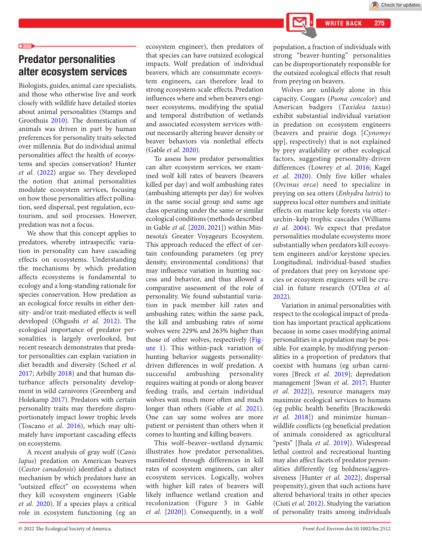# Predator personalities alter ecosystem services

Biologists, guides, animal care specialists, and those who otherwise live and work closely with wildlife have detailed stories about animal personalities (Stamps and Groothuis [2010](#page-1-13)). The domestication of animals was driven in part by human preferences for personality traits selected over millennia. But do individual animal personalities affect the health of ecosystems and species conservation? Hunter *et al*. [\(2022\)](#page-1-6) argue so. They developed the notion that animal personalities modulate ecosystem services, focusing on how those personalities affect pollination, seed dispersal, pest regulation, ecotourism, and soil processes. However, predation was not a focus.

We show that this concept applies to predators, whereby intraspecific variation in personality can have cascading effects on ecosystems. Understanding the mechanisms by which predation affects ecosystems is fundamental to ecology and a long-standing rationale for species conservation. How predation as an ecological force results in either density- and/or trait-mediated effects is well developed (Ohgushi et al. [2012](#page-1-14)). The ecological importance of predator personalities is largely overlooked, but recent research demonstrates that predator personalities can explain variation in diet breadth and diversity (Scheel *et al*. [2017](#page-1-15); Arbilly [2018](#page-1-16)) and that human disturbance affects personality development in wild carnivores (Greenberg and Holekamp [2017](#page-1-17)). Predators with certain personality traits may therefore disproportionately impact lower trophic levels (Toscano *et al*. [2016](#page-1-18)), which may ultimately have important cascading effects on ecosystems.

A recent analysis of gray wolf (*Canis lupus*) predation on American beavers (*Castor canadensis*) identified a distinct mechanism by which predators have an "outsized effect" on ecosystems when they kill ecosystem engineers (Gable *et al*. [2020\)](#page-1-10). If a species plays a critical role in ecosystem functioning (eg an

ecosystem engineer), then predators of that species can have outsized ecological impacts. Wolf predation of individual beavers, which are consummate ecosystem engineers, can therefore lead to strong ecosystem-scale effects. Predation influences where and when beavers engineer ecosystems, modifying the spatial and temporal distribution of wetlands and associated ecosystem services without necessarily altering beaver density or beaver behaviors via nonlethal effects (Gable *et al*. [2020\)](#page-1-10).

To assess how predator personalities can alter ecosystem services, we examined wolf kill rates of beavers (beavers killed per day) and wolf ambushing rates (ambushing attempts per day) for wolves in the same social group and same age class operating under the same or similar ecological conditions (methods described in Gable *et al*. [\[2020](#page-1-10), [2021](#page-1-11)]) within Minnesota's Greater Voyageurs Ecosystem. This approach reduced the effect of certain confounding parameters (eg prey density, environmental conditions) that may influence variation in hunting success and behavior, and thus allowed a comparative assessment of the role of personality. We found substantial variation in pack member kill rates and ambushing rates; within the same pack, the kill and ambushing rates of some wolves were 229% and 263% higher than those of other wolves, respectively (Figure [1\)](#page-1-12). This within-pack variation of hunting behavior suggests personalitydriven differences in wolf predation. A successful ambushing personality requires waiting at ponds or along beaver feeding trails, and certain individual wolves wait much more often and much longer than others (Gable *et al.* [2021\)](#page-1-11). One can say some wolves are more patient or persistent than others when it comes to hunting and killing beavers.

This wolf–beaver–wetland dynamic illustrates how predator personalities, manifested through differences in kill rates of ecosystem engineers, can alter ecosystem services. Logically, wolves with higher kill rates of beavers will likely influence wetland creation and recolonization (Figure 3 in Gable *et al*. [[2020\]](#page-1-10)). Consequently, in a wolf population, a fraction of individuals with strong "beaver-hunting" personalities can be disproportionately responsible for the outsized ecological effects that result from preying on beavers.

WRITE BACK 275

Wolves are unlikely alone in this capacity. Cougars (*Puma concolor*) and American badgers (*Taxidea taxus*) exhibit substantial individual variation in predation on ecosystem engineers (beavers and prairie dogs [*Cynomys* spp], respectively) that is not explained by prey availability or other ecological factors, suggesting personality-driven differences (Lowrey *et al*. [2016](#page-1-0); Kagel *et al*. [2020\)](#page-1-1). Only five killer whales (*Orcinus orca*) need to specialize in preying on sea otters (*Enhydra lutris*) to suppress local otter numbers and initiate effects on marine kelp forests via otter– urchin–kelp trophic cascades (Williams *et al.* [2004\)](#page-1-2). We expect that predator personalities modulate ecosystems more substantially when predators kill ecosystem engineers and/or keystone species. Longitudinal, individual-based studies of predators that prey on keystone species or ecosystem engineers will be crucial in future research (O'Dea *et al*. [2022\)](#page-1-3).

Variation in animal personalities with respect to the ecological impact of predation has important practical applications because in some cases modifying animal personalities in a population may be possible. For example, by modifying personalities in a proportion of predators that coexist with humans (eg urban carnivores [Breck *et al*. [2019](#page-1-4)]; depredation management [Swan *et al*. [2017;](#page-1-5) Hunter *et al*. [2022](#page-1-6)]), resource managers may maximize ecological services to humans (eg public health benefits [Braczkowski *et al*. [2018\]](#page-1-7)) and minimize human– wildlife conflicts (eg beneficial predation of animals considered as agricultural "pests" [Jhala *et al*. [2019\]](#page-1-8)). Widespread lethal control and recreational hunting may also affect facets of predator personalities differently (eg boldness/aggressiveness [Hunter *et al.* [2022](#page-1-6)]; dispersal propensity), given that such actions have altered behavioral traits in other species (Ciuti *et al*. [2012](#page-1-9)). Studying the variation of personality traits among individuals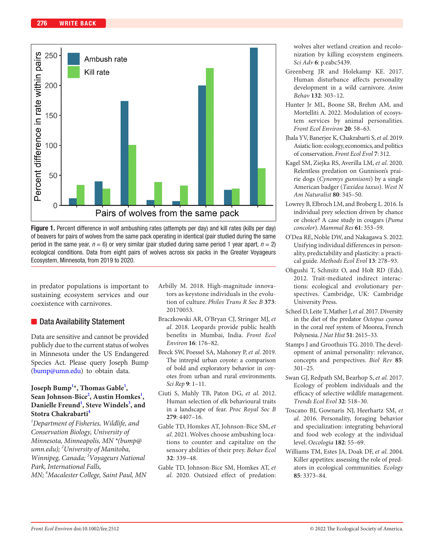

<span id="page-1-12"></span>

in predator populations is important to sustaining ecosystem services and our coexistence with carnivores.

### ■ Data Availability Statement

Data are sensitive and cannot be provided publicly due to the current status of wolves in Minnesota under the US Endangered Species Act. Please query Joseph Bump [\(bump@umn.edu](mailto:bump@umn.edu)) to obtain data.

### **Joseph Bump[1](#page-1-19) \*, Thomas Gable[1](#page-1-19) , Sean Johnson-Bice[2](#page-1-20) , Austin Homkes[1](#page-1-19) ,**  Danielle Freund<sup>[1](#page-1-19)</sup>, Steve Windels<sup>3</sup>, and **Stotra Chakrabart[i4](#page-1-22)**

<span id="page-1-22"></span><span id="page-1-21"></span><span id="page-1-20"></span><span id="page-1-19"></span>*1 Department of Fisheries, Wildlife, and Conservation Biology, University of Minnesota, Minneapolis, MN \*(bump@ umn.edu); <sup>2</sup> University of Manitoba, Winnipeg, Canada; <sup>3</sup> Voyageurs National Park, International Falls, MN; <sup>4</sup> Macalester College, Saint Paul, MN*

- <span id="page-1-16"></span>Arbilly M. 2018. High-magnitude innovators as keystone individuals in the evolution of culture. *Philos Trans R Soc B* **373**: 20170053.
- <span id="page-1-7"></span>Braczkowski AR, O'Bryan CJ, Stringer MJ, *et al*. 2018. Leopards provide public health benefits in Mumbai, India. *Front Ecol Environ* **16**: 176–82.
- <span id="page-1-4"></span>Breck SW, Poessel SA, Mahoney P, *et al*. 2019. The intrepid urban coyote: a comparison of bold and exploratory behavior in coyotes from urban and rural environments. *Sci Rep* **9**: 1–11.
- <span id="page-1-9"></span>Ciuti S, Muhly TB, Paton DG, *et al*. 2012. Human selection of elk behavioural traits in a landscape of fear. *Proc Royal Soc B* **279**: 4407–16.
- <span id="page-1-11"></span>Gable TD, Homkes AT, Johnson-Bice SM, *et al*. 2021. Wolves choose ambushing locations to counter and capitalize on the sensory abilities of their prey. *Behav Ecol* **32**: 339–48.
- <span id="page-1-10"></span>Gable TD, Johnson-Bice SM, Homkes AT, *et al*. 2020. Outsized effect of predation:

wolves alter wetland creation and recolonization by killing ecosystem engineers. *Sci Adv* **6**: p.eabc5439.

- <span id="page-1-17"></span>Greenberg JR and Holekamp KE. 2017. Human disturbance affects personality development in a wild carnivore. *Anim Behav* **132**: 303–12.
- <span id="page-1-6"></span>Hunter Jr ML, Boone SR, Brehm AM, and Mortelliti A. 2022. Modulation of ecosystem services by animal personalities. *Front Ecol Environ* **20**: 58–63.
- <span id="page-1-8"></span>Jhala YV, Banerjee K, Chakrabarti S, *et al*. 2019. Asiatic lion: ecology, economics, and politics of conservation. *Front Ecol Evol* **7**: 312.
- <span id="page-1-1"></span>Kagel SM, Ziejka RS, Averilla LM, *et al*. 2020. Relentless predation on Gunnison's prairie dogs (*Cynomys gunnisoni*) by a single American badger (*Taxidea taxus*). *West N Am Naturalist* **80**: 345–50.
- <span id="page-1-0"></span>Lowrey B, Elbroch LM, and Broberg L. 2016. Is individual prey selection driven by chance or choice? A case study in cougars (*Puma concolor*). *Mammal Res* **61**: 353–59.
- <span id="page-1-3"></span>O'Dea RE, Noble DW, and Nakagawa S. 2022. Unifying individual differences in personality, predictability and plasticity: a practical guide. *Methods Ecol Evol* **13**: 278–93.
- <span id="page-1-14"></span>Ohgushi T, Schmitz O, and Holt RD (Eds). 2012. Trait-mediated indirect interactions: ecological and evolutionary perspectives. Cambridge, UK: Cambridge University Press.
- <span id="page-1-15"></span>Scheel D, Leite T, Mather J, *et al*. 2017. Diversity in the diet of the predator *Octopus cyanea* in the coral reef system of Moorea, French Polynesia. *J Nat Hist* **51**: 2615–33.
- <span id="page-1-13"></span>Stamps J and Groothuis TG. 2010. The development of animal personality: relevance, concepts and perspectives. *Biol Rev* **85**: 301–25.
- <span id="page-1-5"></span>Swan GJ, Redpath SM, Bearhop S, *et al*. 2017. Ecology of problem individuals and the efficacy of selective wildlife management. *Trends Ecol Evol* **32**: 518–30.
- <span id="page-1-18"></span>Toscano BJ, Gownaris NJ, Heerhartz SM, *et al*. 2016. Personality, foraging behavior and specialization: integrating behavioral and food web ecology at the individual level. *Oecologia* **182**: 55–69.
- <span id="page-1-2"></span>Williams TM, Estes JA, Doak DF, *et al*. 2004. Killer appetites: assessing the role of predators in ecological communities. *Ecology* **85**: 3373–84.